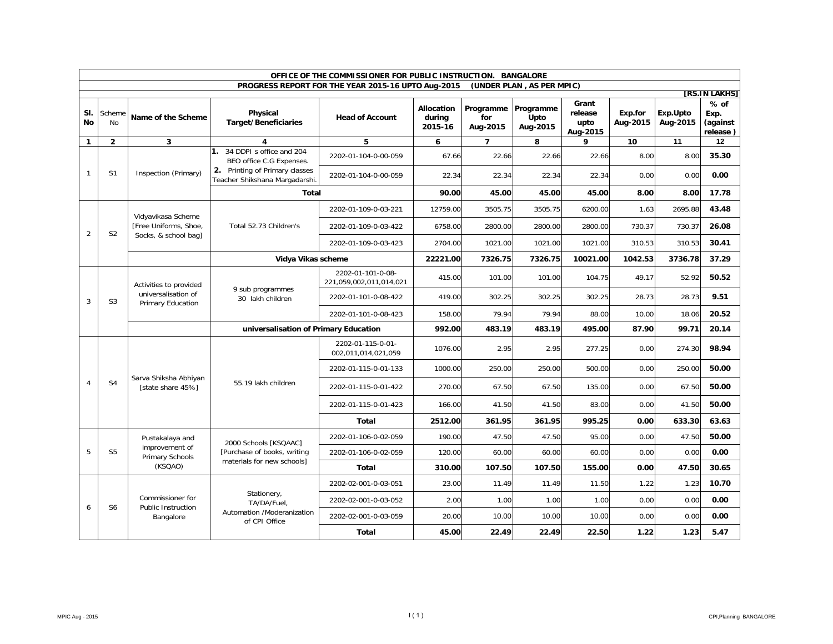|                | OFFICE OF THE COMMISSIONER FOR PUBLIC INSTRUCTION. BANGALORE |                                                                    |                                                                                           |                                                    |                                 |                              |                               |                                      |                     |                      |                                        |       |      |       |
|----------------|--------------------------------------------------------------|--------------------------------------------------------------------|-------------------------------------------------------------------------------------------|----------------------------------------------------|---------------------------------|------------------------------|-------------------------------|--------------------------------------|---------------------|----------------------|----------------------------------------|-------|------|-------|
|                |                                                              |                                                                    |                                                                                           | PROGRESS REPORT FOR THE YEAR 2015-16 UPTO Aug-2015 |                                 |                              | (UNDER PLAN, AS PER MPIC)     |                                      |                     |                      | [RS.IN LAKHS]                          |       |      |       |
| SI.<br>No      | Scheme<br><b>No</b>                                          | Name of the Scheme                                                 | Physical<br><b>Target/Beneficiaries</b>                                                   | <b>Head of Account</b>                             | Allocation<br>during<br>2015-16 | Programme<br>for<br>Aug-2015 | Programme<br>Upto<br>Aug-2015 | Grant<br>release<br>upto<br>Aug-2015 | Exp.for<br>Aug-2015 | Exp.Upto<br>Aug-2015 | $%$ of<br>Exp.<br>(against<br>release) |       |      |       |
| $\mathbf{1}$   | $\overline{2}$                                               | $\mathbf{3}$                                                       | 4                                                                                         | 5                                                  | 6                               | $\overline{7}$               | 8                             | 9                                    | 10                  | 11                   | 12                                     |       |      |       |
| $\mathbf{1}$   | S <sub>1</sub>                                               | Inspection (Primary)                                               | 1. 34 DDPI s office and 204<br>BEO office C.G Expenses.<br>2. Printing of Primary classes | 2202-01-104-0-00-059                               | 67.66                           | 22.66                        | 22.66                         | 22.66                                | 8.00                | 8.00                 | 35.30                                  |       |      |       |
|                |                                                              |                                                                    | Teacher Shikshana Margadarshi                                                             | 2202-01-104-0-00-059                               | 22.34                           | 22.34                        | 22.34                         | 22.34                                | 0.00                | 0.00                 | 0.00                                   |       |      |       |
|                |                                                              |                                                                    | Total                                                                                     |                                                    | 90.00                           | 45.00                        | 45.00                         | 45.00                                | 8.00                | 8.00                 | 17.78                                  |       |      |       |
|                |                                                              | Vidyavikasa Scheme                                                 |                                                                                           | 2202-01-109-0-03-221                               | 12759.00                        | 3505.75                      | 3505.75                       | 6200.00                              | 1.63                | 2695.88              | 43.48                                  |       |      |       |
| 2              | S <sub>2</sub>                                               | [Free Uniforms, Shoe,<br>Socks, & school bag]                      | Total 52.73 Children's                                                                    | 2202-01-109-0-03-422                               | 6758.00                         | 2800.00                      | 2800.00                       | 2800.00                              | 730.37              | 730.37               | 26.08                                  |       |      |       |
|                |                                                              |                                                                    |                                                                                           | 2202-01-109-0-03-423                               | 2704.00                         | 1021.00                      | 1021.00                       | 1021.00                              | 310.53              | 310.53               | 30.41                                  |       |      |       |
|                |                                                              |                                                                    | Vidya Vikas scheme                                                                        |                                                    | 22221.00                        | 7326.75                      | 7326.75                       | 10021.00                             | 1042.53             | 3736.78              | 37.29                                  |       |      |       |
|                | S <sub>3</sub>                                               | Activities to provided<br>universalisation of<br>Primary Education | 9 sub programmes<br>30 lakh children                                                      | 2202-01-101-0-08-<br>221,059,002,011,014,021       | 415.00                          | 101.00                       | 101.00                        | 104.75                               | 49.17               | 52.92                | 50.52                                  |       |      |       |
| 3              |                                                              |                                                                    |                                                                                           | 2202-01-101-0-08-422                               | 419.00                          | 302.25                       | 302.25                        | 302.25                               | 28.73               | 28.73                | 9.51                                   |       |      |       |
|                |                                                              |                                                                    |                                                                                           | 2202-01-101-0-08-423                               | 158.00                          | 79.94                        | 79.94                         | 88.00                                | 10.00               | 18.06                | 20.52                                  |       |      |       |
|                |                                                              |                                                                    | universalisation of Primary Education                                                     | 992.00                                             | 483.19                          | 483.19                       | 495.00                        | 87.90                                | 99.71               | 20.14                |                                        |       |      |       |
|                |                                                              | Sarva Shiksha Abhiyan<br>[state share 45%]                         | 55.19 lakh children                                                                       | 2202-01-115-0-01-<br>002,011,014,021,059           | 1076.00                         | 2.95                         | 2.95                          | 277.25                               | 0.00                | 274.30               | 98.94                                  |       |      |       |
|                |                                                              |                                                                    |                                                                                           | 2202-01-115-0-01-133                               | 1000.00                         | 250.00                       | 250.00                        | 500.00                               | 0.00                | 250.00               | 50.00                                  |       |      |       |
| $\overline{4}$ | S <sub>4</sub>                                               |                                                                    |                                                                                           | 2202-01-115-0-01-422                               | 270.00                          | 67.50                        | 67.50                         | 135.00                               | 0.00                | 67.50                | 50.00                                  |       |      |       |
|                |                                                              |                                                                    |                                                                                           |                                                    |                                 |                              |                               | 2202-01-115-0-01-423                 | 166.00              | 41.50                | 41.50                                  | 83.00 | 0.00 | 41.50 |
|                |                                                              |                                                                    |                                                                                           | <b>Total</b>                                       | 2512.00                         | 361.95                       | 361.95                        | 995.25                               | 0.00                | 633.30               | 63.63                                  |       |      |       |
|                |                                                              | Pustakalaya and                                                    | 2000 Schools [KSQAAC]                                                                     | 2202-01-106-0-02-059                               | 190.00                          | 47.50                        | 47.50                         | 95.00                                | 0.00                | 47.50                | 50.00                                  |       |      |       |
| 5              | S <sub>5</sub>                                               | improvement of<br>Primary Schools                                  | [Purchase of books, writing                                                               | 2202-01-106-0-02-059                               | 120.00                          | 60.00                        | 60.00                         | 60.00                                | 0.00                | 0.00                 | 0.00                                   |       |      |       |
|                |                                                              | (KSQAO)                                                            | materials for new schools]                                                                | <b>Total</b>                                       | 310.00                          | 107.50                       | 107.50                        | 155.00                               | 0.00                | 47.50                | 30.65                                  |       |      |       |
|                |                                                              |                                                                    |                                                                                           | 2202-02-001-0-03-051                               | 23.00                           | 11.49                        | 11.49                         | 11.50                                | 1.22                | 1.23                 | 10.70                                  |       |      |       |
| $\overline{b}$ | S <sub>6</sub>                                               | Commissioner for<br><b>Public Instruction</b>                      | Stationery,<br>TA/DA/Fuel.                                                                | 2202-02-001-0-03-052                               | 2.00                            | 1.00                         | 1.00                          | 1.00                                 | 0.00                | 0.00                 | 0.00                                   |       |      |       |
|                |                                                              | Bangalore                                                          | Automation /Moderanization<br>of CPI Office                                               | 2202-02-001-0-03-059                               | 20.00                           | 10.00                        | 10.00                         | 10.00                                | 0.00                | 0.00                 | 0.00                                   |       |      |       |
|                |                                                              |                                                                    |                                                                                           | <b>Total</b>                                       | 45.00                           | 22.49                        | 22.49                         | 22.50                                | 1.22                | 1.23                 | 5.47                                   |       |      |       |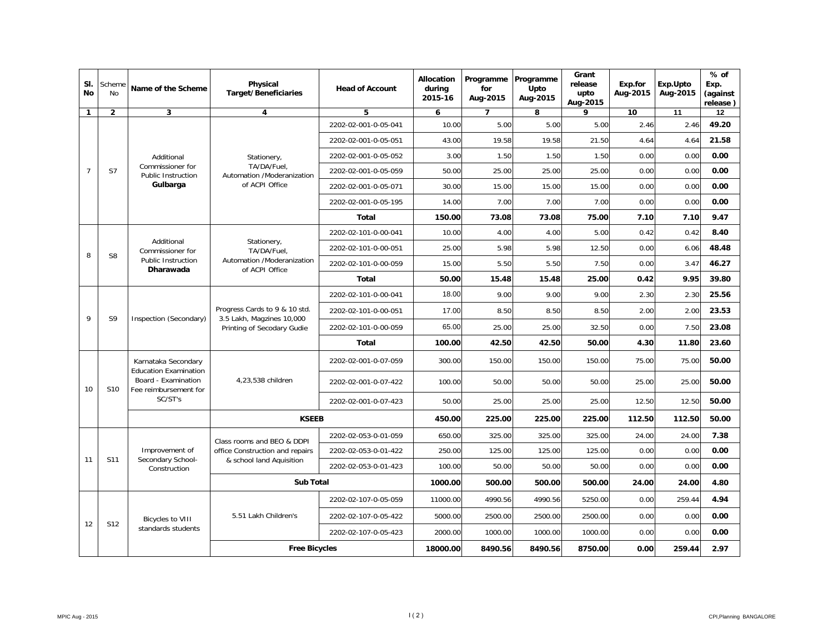| SI.<br><b>No</b> | Scheme<br>No    | Name of the Scheme                                                                                             | <b>Physical</b><br><b>Target/Beneficiaries</b>                                           | <b>Head of Account</b> | <b>Allocation</b><br>during<br>2015-16 | Programme<br>for<br>Aug-2015 | Programme<br>Upto<br>Aug-2015 | Grant<br>release<br>upto<br>Aug-2015 | Exp.for<br>Aug-2015 | Exp.Upto<br>Aug-2015 | $%$ of<br>Exp.<br>(against<br>release) |
|------------------|-----------------|----------------------------------------------------------------------------------------------------------------|------------------------------------------------------------------------------------------|------------------------|----------------------------------------|------------------------------|-------------------------------|--------------------------------------|---------------------|----------------------|----------------------------------------|
| 1                | $\overline{2}$  | $\overline{\mathbf{3}}$                                                                                        | 4                                                                                        | 5                      | 6                                      | 7                            | 8                             | 9                                    | 10                  | 11                   | 12                                     |
|                  |                 |                                                                                                                |                                                                                          | 2202-02-001-0-05-041   | 10.00                                  | 5.00                         | 5.00                          | 5.00                                 | 2.46                | 2.46                 | 49.20                                  |
|                  |                 |                                                                                                                |                                                                                          | 2202-02-001-0-05-051   | 43.00                                  | 19.58                        | 19.58                         | 21.50                                | 4.64                | 4.64                 | 21.58                                  |
|                  |                 | Additional                                                                                                     | Stationery,                                                                              | 2202-02-001-0-05-052   | 3.00                                   | 1.50                         | 1.50                          | 1.50                                 | 0.00                | 0.00                 | 0.00                                   |
| $\overline{7}$   | S7              | Commissioner for<br><b>Public Instruction</b>                                                                  | TA/DA/Fuel.<br>Automation /Moderanization                                                | 2202-02-001-0-05-059   | 50.00                                  | 25.00                        | 25.00                         | 25.00                                | 0.00                | 0.00                 | 0.00                                   |
|                  |                 | Gulbarga                                                                                                       | of ACPI Office                                                                           | 2202-02-001-0-05-071   | 30.00                                  | 15.00                        | 15.00                         | 15.00                                | 0.00                | 0.00                 | 0.00                                   |
|                  |                 |                                                                                                                |                                                                                          | 2202-02-001-0-05-195   | 14.00                                  | 7.00                         | 7.00                          | 7.00                                 | 0.00                | 0.00                 | 0.00                                   |
|                  |                 |                                                                                                                |                                                                                          | <b>Total</b>           | 150.00                                 | 73.08                        | 73.08                         | 75.00                                | 7.10                | 7.10                 | 9.47                                   |
|                  |                 |                                                                                                                |                                                                                          | 2202-02-101-0-00-041   | 10.00                                  | 4.00                         | 4.00                          | 5.00                                 | 0.42                | 0.42                 | 8.40                                   |
|                  | S8              | Additional<br>Commissioner for<br><b>Public Instruction</b><br>Dharawada                                       | Stationery,<br>TA/DA/Fuel.<br>Automation /Moderanization<br>of ACPI Office               | 2202-02-101-0-00-051   | 25.00                                  | 5.98                         | 5.98                          | 12.50                                | 0.00                | 6.06                 | 48.48                                  |
| 8                |                 |                                                                                                                |                                                                                          | 2202-02-101-0-00-059   | 15.00                                  | 5.50                         | 5.50                          | 7.50                                 | 0.00                | 3.47                 | 46.27                                  |
|                  |                 |                                                                                                                |                                                                                          | Total                  | 50.00                                  | 15.48                        | 15.48                         | 25.00                                | 0.42                | 9.95                 | 39.80                                  |
|                  | S9              | Inspection (Secondary)                                                                                         | Progress Cards to 9 & 10 std.<br>3.5 Lakh, Magzines 10,000<br>Printing of Secodary Gudie | 2202-02-101-0-00-041   | 18.00                                  | 9.00                         | 9.00                          | 9.00                                 | 2.30                | 2.30                 | 25.56                                  |
| 9                |                 |                                                                                                                |                                                                                          | 2202-02-101-0-00-051   | 17.00                                  | 8.50                         | 8.50                          | 8.50                                 | 2.00                | 2.00                 | 23.53                                  |
|                  |                 |                                                                                                                |                                                                                          | 2202-02-101-0-00-059   | 65.00                                  | 25.00                        | 25.00                         | 32.50                                | 0.00                | 7.50                 | 23.08                                  |
|                  |                 |                                                                                                                |                                                                                          | <b>Total</b>           | 100.00                                 | 42.50                        | 42.50                         | 50.00                                | 4.30                | 11.80                | 23.60                                  |
|                  |                 | Karnataka Secondary<br><b>Education Examination</b><br>Board - Examination<br>Fee reimbursement for<br>SC/ST's | 4.23.538 children                                                                        | 2202-02-001-0-07-059   | 300.00                                 | 150.00                       | 150.00                        | 150.00                               | 75.00               | 75.00                | 50.00                                  |
| 10               | S <sub>10</sub> |                                                                                                                |                                                                                          | 2202-02-001-0-07-422   | 100.00                                 | 50.00                        | 50.00                         | 50.00                                | 25.00               | 25.00                | 50.00                                  |
|                  |                 |                                                                                                                |                                                                                          | 2202-02-001-0-07-423   | 50.00                                  | 25.00                        | 25.00                         | 25.00                                | 12.50               | 12.50                | 50.00                                  |
|                  |                 |                                                                                                                | <b>KSEEB</b>                                                                             |                        | 450.00                                 | 225.00                       | 225.00                        | 225.00                               | 112.50              | 112.50               | 50.00                                  |
|                  |                 |                                                                                                                | Class rooms and BEO & DDPI                                                               | 2202-02-053-0-01-059   | 650.00                                 | 325.00                       | 325.00                        | 325.00                               | 24.00               | 24.00                | 7.38                                   |
|                  |                 | Improvement of                                                                                                 | office Construction and repairs                                                          | 2202-02-053-0-01-422   | 250.00                                 | 125.00                       | 125.00                        | 125.00                               | 0.00                | 0.00                 | 0.00                                   |
| 11               | S11             | Secondary School-<br>Construction                                                                              | & school land Aquisition                                                                 | 2202-02-053-0-01-423   | 100.00                                 | 50.00                        | 50.00                         | 50.00                                | 0.00                | 0.00                 | 0.00                                   |
|                  |                 |                                                                                                                | <b>Sub Total</b>                                                                         |                        | 1000.00                                | 500.00                       | 500.00                        | 500.00                               | 24.00               | 24.00                | 4.80                                   |
|                  |                 |                                                                                                                |                                                                                          | 2202-02-107-0-05-059   | 11000.00                               | 4990.56                      | 4990.56                       | 5250.00                              | 0.00                | 259.44               | 4.94                                   |
|                  |                 | <b>Bicycles to VIII</b>                                                                                        | 5.51 Lakh Children's                                                                     | 2202-02-107-0-05-422   | 5000.00                                | 2500.00                      | 2500.00                       | 2500.00                              | 0.00                | 0.00                 | 0.00                                   |
| 12               | S12             | standards students                                                                                             |                                                                                          | 2202-02-107-0-05-423   | 2000.00                                | 1000.00                      | 1000.00                       | 1000.00                              | 0.00                | 0.00                 | 0.00                                   |
|                  |                 |                                                                                                                | <b>Free Bicycles</b>                                                                     |                        | 18000.00                               | 8490.56                      | 8490.56                       | 8750.00                              | 0.00                | 259.44               | 2.97                                   |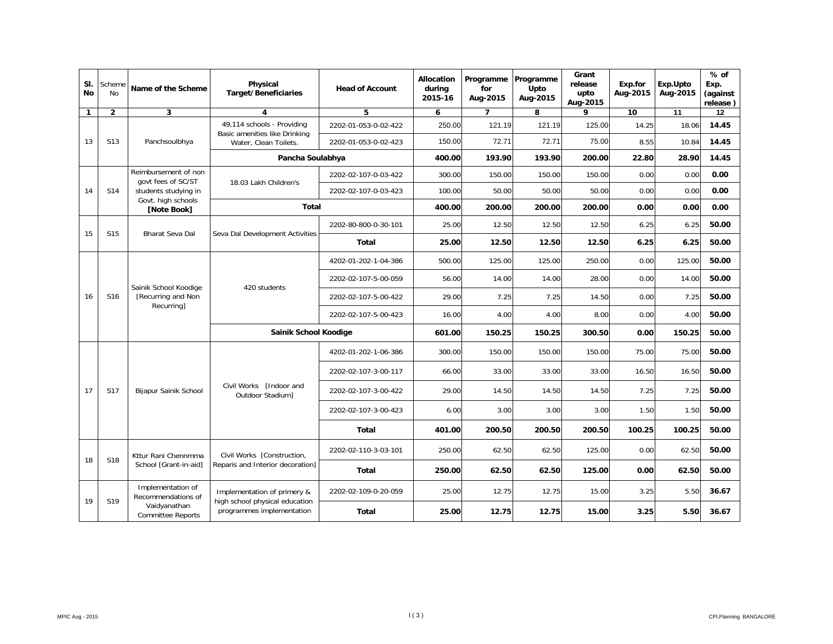| SI.<br><b>No</b> | Scheme<br><b>No</b> | Name of the Scheme                                        | <b>Physical</b><br><b>Target/Beneficiaries</b>         | <b>Head of Account</b>                                      | Allocation<br>during<br>2015-16 | Programme<br>for<br>Aug-2015 | Programme<br>Upto<br>Aug-2015 | Grant<br>release<br>upto<br>Aug-2015 | Exp.for<br>Aug-2015 | Exp.Upto<br>Aug-2015 | $%$ of<br>Exp.<br>(against<br>release) |       |
|------------------|---------------------|-----------------------------------------------------------|--------------------------------------------------------|-------------------------------------------------------------|---------------------------------|------------------------------|-------------------------------|--------------------------------------|---------------------|----------------------|----------------------------------------|-------|
| $\mathbf{1}$     | $\overline{2}$      | 3                                                         | $\overline{\mathbf{4}}$                                | 5                                                           | 6                               | $\overline{7}$               | 8                             | 9                                    | 10                  | 11                   | 12                                     |       |
|                  |                     |                                                           | 49,114 schools - Providing                             | 2202-01-053-0-02-422                                        | 250.00                          | 121.19                       | 121.19                        | 125.00                               | 14.25               | 18.06                | 14.45                                  |       |
| 13               | S <sub>13</sub>     | Panchsoulbhya                                             | Basic amenities like Drinking<br>Water, Clean Toilets. | 2202-01-053-0-02-423                                        | 150.00                          | 72.71                        | 72.71                         | 75.00                                | 8.55                | 10.84                | 14.45                                  |       |
|                  |                     |                                                           | Pancha Soulabhya                                       |                                                             | 400.00                          | 193.90                       | 193.90                        | 200.00                               | 22.80               | 28.90                | 14.45                                  |       |
|                  |                     | Reimbursement of non<br>govt fees of SC/ST                | 18.03 Lakh Children's                                  | 2202-02-107-0-03-422                                        | 300.00                          | 150.00                       | 150.00                        | 150.00                               | 0.00                | 0.00                 | 0.00                                   |       |
| 14               | S14                 | students studying in                                      |                                                        | 2202-02-107-0-03-423                                        | 100.00                          | 50.00                        | 50.00                         | 50.00                                | 0.00                | 0.00                 | 0.00                                   |       |
|                  |                     | Govt. high schools<br>[Note Book]                         | <b>Total</b>                                           |                                                             | 400.00                          | 200.00                       | 200.00                        | 200.00                               | 0.00                | 0.00                 | 0.00                                   |       |
| 15               |                     |                                                           |                                                        | 2202-80-800-0-30-101                                        | 25.00                           | 12.50                        | 12.50                         | 12.50                                | 6.25                | 6.25                 | 50.00                                  |       |
|                  | S15                 | Bharat Seva Dal                                           | Seva Dal Development Activities                        | Total                                                       | 25.00                           | 12.50                        | 12.50                         | 12.50                                | 6.25                | 6.25                 | 50.00                                  |       |
|                  | S <sub>16</sub>     | Sainik School Koodige<br>[Recurring and Non<br>Recurring] | 420 students                                           | 4202-01-202-1-04-386                                        | 500.00                          | 125.00                       | 125.00                        | 250.00                               | 0.00                | 125.00               | 50.00                                  |       |
|                  |                     |                                                           |                                                        | 2202-02-107-5-00-059                                        | 56.00                           | 14.00                        | 14.00                         | 28.00                                | 0.00                | 14.00                | 50.00                                  |       |
| 16               |                     |                                                           |                                                        | 2202-02-107-5-00-422                                        | 29.00                           | 7.25                         | 7.25                          | 14.50                                | 0.00                | 7.25                 | 50.00                                  |       |
|                  |                     |                                                           |                                                        | 2202-02-107-5-00-423                                        | 16.00                           | 4.00                         | 4.00                          | 8.00                                 | 0.00                | 4.00                 | 50.00                                  |       |
|                  |                     |                                                           | Sainik School Koodige                                  |                                                             | 601.00                          | 150.25                       | 150.25                        | 300.50                               | 0.00                | 150.25               | 50.00                                  |       |
|                  |                     |                                                           |                                                        | 4202-01-202-1-06-386                                        | 300.00                          | 150.00                       | 150.00                        | 150.00                               | 75.00               | 75.00                | 50.00                                  |       |
|                  |                     |                                                           |                                                        | 2202-02-107-3-00-117                                        | 66.00                           | 33.00                        | 33.00                         | 33.00                                | 16.50               | 16.50                | 50.00                                  |       |
| 17               | <b>S17</b>          | Bijapur Sainik School                                     | Civil Works [Indoor and<br>Outdoor Stadium]            | 2202-02-107-3-00-422                                        | 29.00                           | 14.50                        | 14.50                         | 14.50                                | 7.25                | 7.25                 | 50.00                                  |       |
|                  |                     |                                                           |                                                        | 2202-02-107-3-00-423                                        | 6.00                            | 3.00                         | 3.00                          | 3.00                                 | 1.50                | 1.50                 | 50.00                                  |       |
|                  |                     |                                                           |                                                        | <b>Total</b>                                                | 401.00                          | 200.50                       | 200.50                        | 200.50                               | 100.25              | 100.25               | 50.00                                  |       |
|                  |                     | Kttur Rani Chennmma                                       | Civil Works [Construction,                             | 2202-02-110-3-03-101                                        | 250.00                          | 62.50                        | 62.50                         | 125.00                               | 0.00                | 62.50                | 50.00                                  |       |
| 18               | <b>S18</b>          | School [Grant-in-aid]                                     | Reparis and Interior decoration]                       | Total                                                       | 250.00                          | 62.50                        | 62.50                         | 125.00                               | 0.00                | 62.50                | 50.00                                  |       |
|                  |                     | Implementation of<br>Recommendations of                   | Implementation of primery &                            | 2202-02-109-0-20-059                                        | 25.00                           | 12.75                        | 12.75                         | 15.00                                | 3.25                | 5.50                 | 36.67                                  |       |
| 19               | S <sub>19</sub>     |                                                           | Vaidyanathan<br><b>Committee Reports</b>               | high school physical education<br>programmes implementation | Total                           | 25.00                        | 12.75                         | 12.75                                | 15.00               | 3.25                 | 5.50                                   | 36.67 |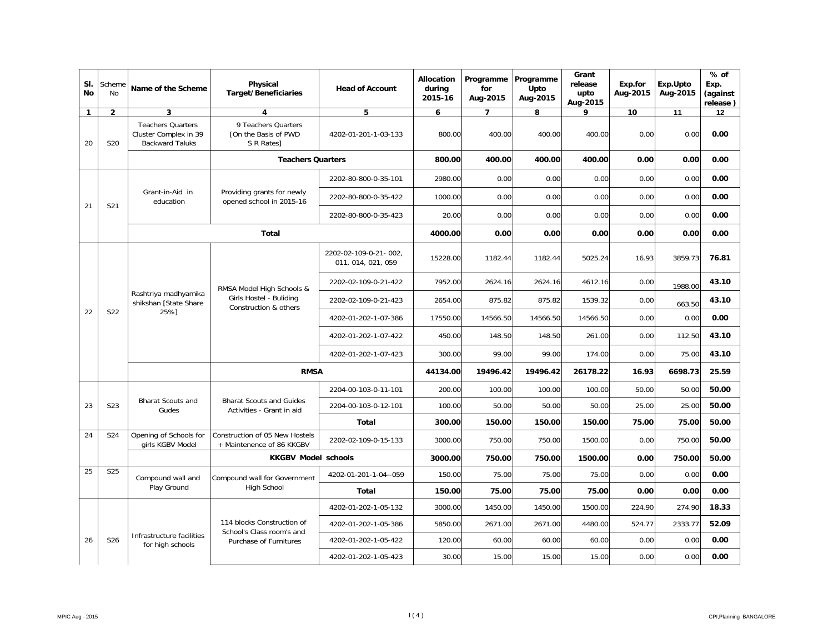| SI.<br><b>No</b> | Scheme<br>No    | Name of the Scheme                                                          | Physical<br><b>Target/Beneficiaries</b>                                               | <b>Head of Account</b>                      | Allocation<br>during<br>2015-16 | Programme<br>for<br>Aug-2015 | Programme<br>Upto<br>Aug-2015 | Grant<br>release<br>upto<br>Aug-2015 | Exp.for<br>Aug-2015 | Exp.Upto<br>Aug-2015 | % of<br>Exp.<br>(against<br>release) |
|------------------|-----------------|-----------------------------------------------------------------------------|---------------------------------------------------------------------------------------|---------------------------------------------|---------------------------------|------------------------------|-------------------------------|--------------------------------------|---------------------|----------------------|--------------------------------------|
| $\mathbf{1}$     | $\overline{2}$  | 3                                                                           | 4                                                                                     | 5                                           | 6                               | $\overline{7}$               | 8                             | 9                                    | 10                  | 11                   | 12                                   |
| 20               | <b>S20</b>      | <b>Teachers Quarters</b><br>Cluster Complex in 39<br><b>Backward Taluks</b> | 9 Teachers Quarters<br>TOn the Basis of PWD<br>S R Rates]                             | 4202-01-201-1-03-133                        | 800.00                          | 400.00                       | 400.00                        | 400.00                               | 0.00                | 0.00                 | 0.00                                 |
|                  |                 |                                                                             | <b>Teachers Quarters</b>                                                              |                                             | 800.00                          | 400.00                       | 400.00                        | 400.00                               | 0.00                | 0.00                 | 0.00                                 |
|                  |                 |                                                                             |                                                                                       | 2202-80-800-0-35-101                        | 2980.00                         | 0.00                         | 0.00                          | 0.00                                 | 0.00                | 0.00                 | 0.00                                 |
| 21               | S21             | Grant-in-Aid in<br>education                                                | Providing grants for newly<br>opened school in 2015-16                                | 2202-80-800-0-35-422                        | 1000.00                         | 0.00                         | 0.00                          | 0.00                                 | 0.00                | 0.00                 | 0.00                                 |
|                  |                 |                                                                             |                                                                                       | 2202-80-800-0-35-423                        | 20.00                           | 0.00                         | 0.00                          | 0.00                                 | 0.00                | 0.00                 | 0.00                                 |
|                  |                 |                                                                             | Total                                                                                 |                                             | 4000.00                         | 0.00                         | 0.00                          | 0.00                                 | 0.00                | 0.00                 | 0.00                                 |
|                  | S22             | Rashtriya madhyamika<br>shikshan [State Share                               | RMSA Model High Schools &<br>Girls Hostel - Buliding<br>Construction & others<br>25%1 | 2202-02-109-0-21-002,<br>011, 014, 021, 059 | 15228.00                        | 1182.44                      | 1182.44                       | 5025.24                              | 16.93               | 3859.73              | 76.81                                |
|                  |                 |                                                                             |                                                                                       | 2202-02-109-0-21-422                        | 7952.00                         | 2624.16                      | 2624.16                       | 4612.16                              | 0.00                | 1988.00              | 43.10                                |
|                  |                 |                                                                             |                                                                                       | 2202-02-109-0-21-423                        | 2654.00                         | 875.82                       | 875.82                        | 1539.32                              | 0.00                | 663.50               | 43.10                                |
| 22               |                 |                                                                             |                                                                                       | 4202-01-202-1-07-386                        | 17550.00                        | 14566.50                     | 14566.50                      | 14566.50                             | 0.00                | 0.00                 | 0.00                                 |
|                  |                 |                                                                             |                                                                                       | 4202-01-202-1-07-422                        | 450.00                          | 148.50                       | 148.50                        | 261.00                               | 0.00                | 112.50               | 43.10                                |
|                  |                 |                                                                             |                                                                                       | 4202-01-202-1-07-423                        | 300.00                          | 99.00                        | 99.00                         | 174.00                               | 0.00                | 75.00                | 43.10                                |
|                  |                 |                                                                             | <b>RMSA</b>                                                                           |                                             | 44134.00                        | 19496.42                     | 19496.42                      | 26178.22                             | 16.93               | 6698.73              | 25.59                                |
|                  |                 |                                                                             |                                                                                       | 2204-00-103-0-11-101                        | 200.00                          | 100.00                       | 100.00                        | 100.00                               | 50.00               | 50.00                | 50.00                                |
| 23               | S23             | <b>Bharat Scouts and</b><br>Gudes                                           | <b>Bharat Scouts and Guides</b><br>Activities - Grant in aid                          | 2204-00-103-0-12-101                        | 100.00                          | 50.00                        | 50.00                         | 50.00                                | 25.00               | 25.00                | 50.00                                |
|                  |                 |                                                                             |                                                                                       | Total                                       | 300.00                          | 150.00                       | 150.00                        | 150.00                               | 75.00               | 75.00                | 50.00                                |
| 24               | S24             | Opening of Schools for<br>girls KGBV Model                                  | Construction of 05 New Hostels<br>+ Maintenence of 86 KKGBV                           | 2202-02-109-0-15-133                        | 3000.00                         | 750.00                       | 750.00                        | 1500.00                              | 0.00                | 750.00               | 50.00                                |
|                  |                 |                                                                             | <b>KKGBV Model schools</b>                                                            |                                             | 3000.00                         | 750.00                       | 750.00                        | 1500.00                              | 0.00                | 750.00               | 50.00                                |
| 25               | <b>S25</b>      | Compound wall and                                                           | Compound wall for Government                                                          | 4202-01-201-1-04--059                       | 150.00                          | 75.00                        | 75.00                         | 75.00                                | 0.00                | 0.00                 | 0.00                                 |
|                  |                 | Play Ground                                                                 | High School                                                                           | <b>Total</b>                                | 150.00                          | 75.00                        | 75.00                         | 75.00                                | 0.00                | 0.00                 | 0.00                                 |
|                  |                 |                                                                             |                                                                                       | 4202-01-202-1-05-132                        | 3000.00                         | 1450.00                      | 1450.00                       | 1500.00                              | 224.90              | 274.90               | 18.33                                |
|                  |                 |                                                                             | 114 blocks Construction of<br>School's Class room's and                               | 4202-01-202-1-05-386                        | 5850.00                         | 2671.00                      | 2671.00                       | 4480.00                              | 524.77              | 2333.77              | 52.09                                |
| 26               | S <sub>26</sub> | Infrastructure facilities<br>for high schools                               | Purchase of Furnitures                                                                | 4202-01-202-1-05-422                        | 120.00                          | 60.00                        | 60.00                         | 60.00                                | 0.00                | 0.00                 | 0.00                                 |
|                  |                 |                                                                             |                                                                                       | 4202-01-202-1-05-423                        | 30.00                           | 15.00                        | 15.00                         | 15.00                                | 0.00                | 0.00                 | 0.00                                 |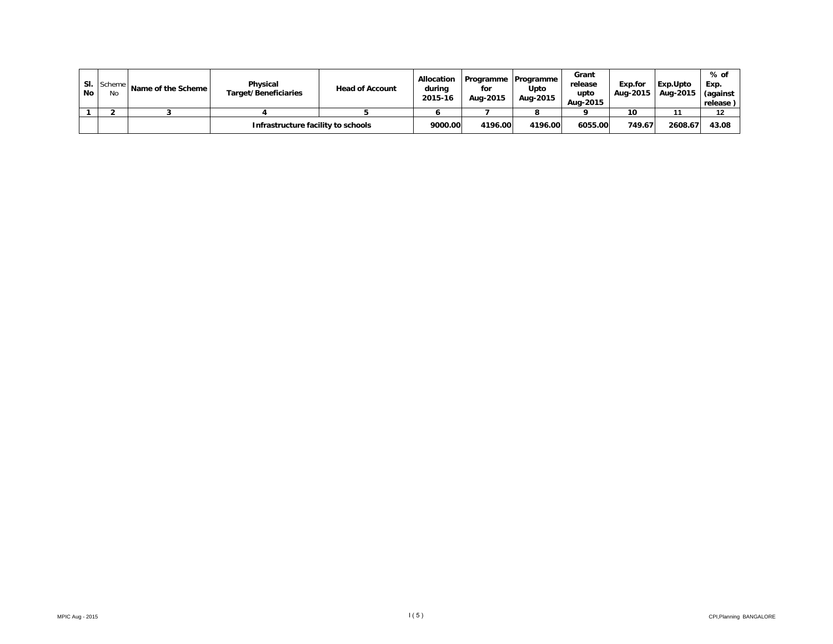| No | SI. Scheme<br>No | Name of the Scheme | Physical<br>Target/Beneficiaries   | <b>Head of Account</b> | <b>Allocation</b><br>during<br>2015-16 | for<br>Aug-2015 | Programme Programme<br>Upto<br>Aug-2015 | Grant<br>release<br>upto<br>Aug-2015 | Exp.for<br>Aug-2015 | Exp.Upto<br>Aug-2015 | % of<br>Exp.<br>(against<br>release |
|----|------------------|--------------------|------------------------------------|------------------------|----------------------------------------|-----------------|-----------------------------------------|--------------------------------------|---------------------|----------------------|-------------------------------------|
|    |                  |                    |                                    |                        |                                        |                 |                                         |                                      | 10                  |                      | 12                                  |
|    |                  |                    | Infrastructure facility to schools |                        | 9000.00                                | 4196.00         | 4196.00                                 | 6055.00                              | 749.67              | 2608.67              | 43.08                               |